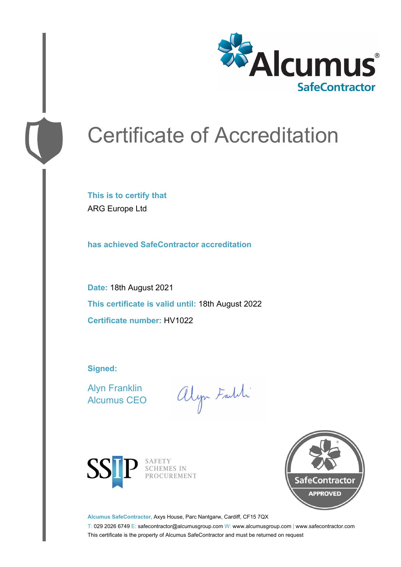

# Certificate of Accreditation

**This is to certify that** ARG Europe Ltd

**has achieved SafeContractor accreditation**

**Date:** 18th August 2021 **This certificate is valid until:** 18th August 2022 **Certificate number:** HV1022

**Signed:**

Alyn Franklin Alcumus CEO

alyn Faith



SAFETY<br>SCHEMES IN PROCUREMENT



**Alcumus SafeContractor,** Axys House, Parc Nantgarw, Cardiff, CF15 7QX

T: 029 2026 6749 E: safecontractor@alcumusgroup.com W: www.alcumusgroup.com | www.safecontractor.com This certificate is the property of Alcumus SafeContractor and must be returned on request